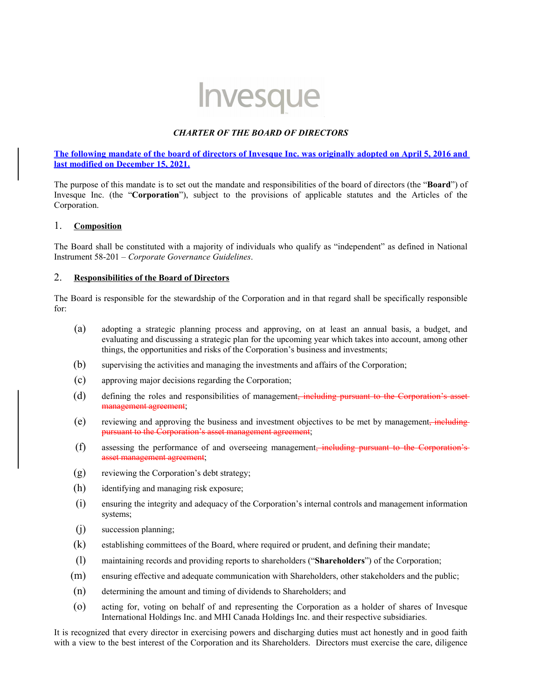# Invesque

#### *CHARTER OF THE BOARD OF DIRECTORS*

#### **The following mandate of the board of directors of Invesque Inc. was originally adopted on April 5, 2016 and last modified on December 15, 2021.**

The purpose of this mandate is to set out the mandate and responsibilities of the board of directors (the "**Board**") of Invesque Inc. (the "**Corporation**"), subject to the provisions of applicable statutes and the Articles of the Corporation.

#### 1. **Composition**

The Board shall be constituted with a majority of individuals who qualify as "independent" as defined in National Instrument 58-201 – *Corporate Governance Guidelines*.

#### 2. **Responsibilities of the Board of Directors**

The Board is responsible for the stewardship of the Corporation and in that regard shall be specifically responsible for:

- (a) adopting a strategic planning process and approving, on at least an annual basis, a budget, and evaluating and discussing a strategic plan for the upcoming year which takes into account, among other things, the opportunities and risks of the Corporation's business and investments;
- (b) supervising the activities and managing the investments and affairs of the Corporation;
- (c) approving major decisions regarding the Corporation;
- (d) defining the roles and responsibilities of management<del>, including pursuant to the Corporation's asset</del> eement:
- (e) reviewing and approving the business and investment objectives to be met by management, including pursuant to the Corporation's asset management agreement;
- (f) assessing the performance of and overseeing management, including pursuant to the Corporation's asset management agreement;
- (g) reviewing the Corporation's debt strategy;
- (h) identifying and managing risk exposure;
- (i) ensuring the integrity and adequacy of the Corporation's internal controls and management information systems;
- (j) succession planning;
- (k) establishing committees of the Board, where required or prudent, and defining their mandate;
- (l) maintaining records and providing reports to shareholders ("**Shareholders**") of the Corporation;
- (m) ensuring effective and adequate communication with Shareholders, other stakeholders and the public;
- (n) determining the amount and timing of dividends to Shareholders; and
- (o) acting for, voting on behalf of and representing the Corporation as a holder of shares of Invesque International Holdings Inc. and MHI Canada Holdings Inc. and their respective subsidiaries.

It is recognized that every director in exercising powers and discharging duties must act honestly and in good faith with a view to the best interest of the Corporation and its Shareholders. Directors must exercise the care, diligence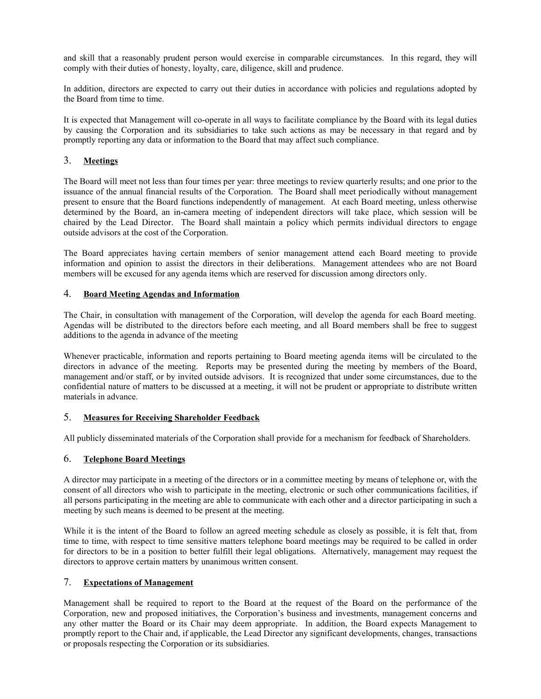and skill that a reasonably prudent person would exercise in comparable circumstances. In this regard, they will comply with their duties of honesty, loyalty, care, diligence, skill and prudence.

In addition, directors are expected to carry out their duties in accordance with policies and regulations adopted by the Board from time to time.

It is expected that Management will co-operate in all ways to facilitate compliance by the Board with its legal duties by causing the Corporation and its subsidiaries to take such actions as may be necessary in that regard and by promptly reporting any data or information to the Board that may affect such compliance.

## 3. **Meetings**

The Board will meet not less than four times per year: three meetings to review quarterly results; and one prior to the issuance of the annual financial results of the Corporation. The Board shall meet periodically without management present to ensure that the Board functions independently of management. At each Board meeting, unless otherwise determined by the Board, an in-camera meeting of independent directors will take place, which session will be chaired by the Lead Director. The Board shall maintain a policy which permits individual directors to engage outside advisors at the cost of the Corporation.

The Board appreciates having certain members of senior management attend each Board meeting to provide information and opinion to assist the directors in their deliberations. Management attendees who are not Board members will be excused for any agenda items which are reserved for discussion among directors only.

#### 4. **Board Meeting Agendas and Information**

The Chair, in consultation with management of the Corporation, will develop the agenda for each Board meeting. Agendas will be distributed to the directors before each meeting, and all Board members shall be free to suggest additions to the agenda in advance of the meeting

Whenever practicable, information and reports pertaining to Board meeting agenda items will be circulated to the directors in advance of the meeting. Reports may be presented during the meeting by members of the Board, management and/or staff, or by invited outside advisors. It is recognized that under some circumstances, due to the confidential nature of matters to be discussed at a meeting, it will not be prudent or appropriate to distribute written materials in advance.

#### 5. **Measures for Receiving Shareholder Feedback**

All publicly disseminated materials of the Corporation shall provide for a mechanism for feedback of Shareholders.

#### 6. **Telephone Board Meetings**

A director may participate in a meeting of the directors or in a committee meeting by means of telephone or, with the consent of all directors who wish to participate in the meeting, electronic or such other communications facilities, if all persons participating in the meeting are able to communicate with each other and a director participating in such a meeting by such means is deemed to be present at the meeting.

While it is the intent of the Board to follow an agreed meeting schedule as closely as possible, it is felt that, from time to time, with respect to time sensitive matters telephone board meetings may be required to be called in order for directors to be in a position to better fulfill their legal obligations. Alternatively, management may request the directors to approve certain matters by unanimous written consent.

# 7. **Expectations of Management**

Management shall be required to report to the Board at the request of the Board on the performance of the Corporation, new and proposed initiatives, the Corporation's business and investments, management concerns and any other matter the Board or its Chair may deem appropriate. In addition, the Board expects Management to promptly report to the Chair and, if applicable, the Lead Director any significant developments, changes, transactions or proposals respecting the Corporation or its subsidiaries.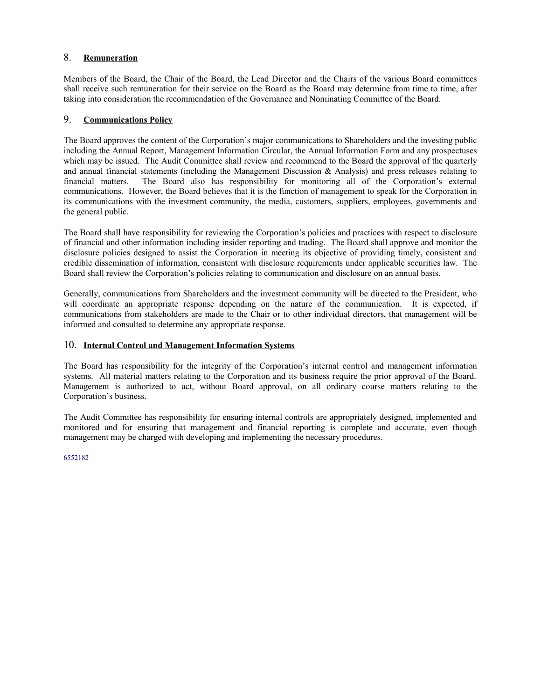# 8. **Remuneration**

Members of the Board, the Chair of the Board, the Lead Director and the Chairs of the various Board committees shall receive such remuneration for their service on the Board as the Board may determine from time to time, after taking into consideration the recommendation of the Governance and Nominating Committee of the Board.

## 9. **Communications Policy**

The Board approves the content of the Corporation's major communications to Shareholders and the investing public including the Annual Report, Management Information Circular, the Annual Information Form and any prospectuses which may be issued. The Audit Committee shall review and recommend to the Board the approval of the quarterly and annual financial statements (including the Management Discussion & Analysis) and press releases relating to financial matters. The Board also has responsibility for monitoring all of the Corporation's external communications. However, the Board believes that it is the function of management to speak for the Corporation in its communications with the investment community, the media, customers, suppliers, employees, governments and the general public.

The Board shall have responsibility for reviewing the Corporation's policies and practices with respect to disclosure of financial and other information including insider reporting and trading. The Board shall approve and monitor the disclosure policies designed to assist the Corporation in meeting its objective of providing timely, consistent and credible dissemination of information, consistent with disclosure requirements under applicable securities law. The Board shall review the Corporation's policies relating to communication and disclosure on an annual basis.

Generally, communications from Shareholders and the investment community will be directed to the President, who will coordinate an appropriate response depending on the nature of the communication. It is expected, if communications from stakeholders are made to the Chair or to other individual directors, that management will be informed and consulted to determine any appropriate response.

# 10. **Internal Control and Management Information Systems**

The Board has responsibility for the integrity of the Corporation's internal control and management information systems. All material matters relating to the Corporation and its business require the prior approval of the Board. Management is authorized to act, without Board approval, on all ordinary course matters relating to the Corporation's business.

The Audit Committee has responsibility for ensuring internal controls are appropriately designed, implemented and monitored and for ensuring that management and financial reporting is complete and accurate, even though management may be charged with developing and implementing the necessary procedures.

6552182